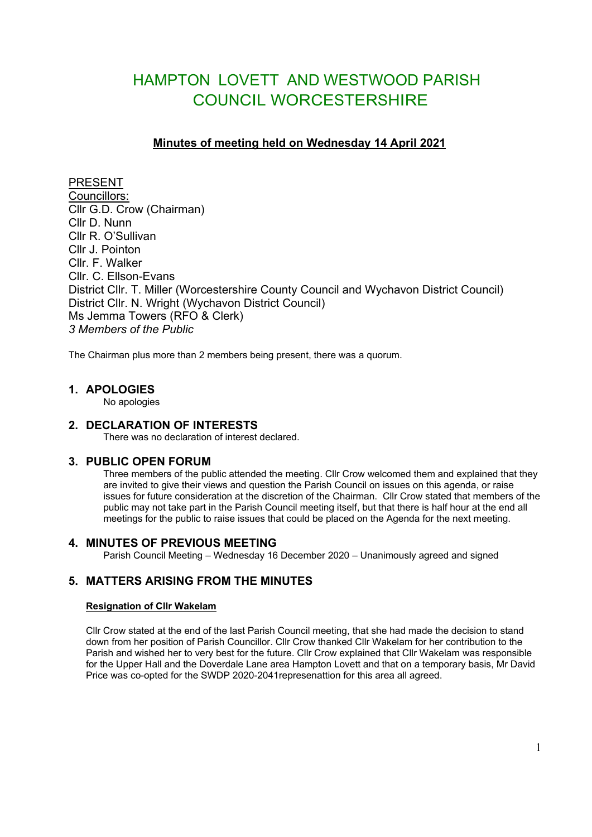# HAMPTON LOVETT AND WESTWOOD PARISH COUNCIL WORCESTERSHIRE

# **Minutes of meeting held on Wednesday 14 April 2021**

PRESENT Councillors: Cllr G.D. Crow (Chairman) Cllr D. Nunn Cllr R. O'Sullivan Cllr J. Pointon Cllr. F. Walker Cllr. C. Ellson-Evans District Cllr. T. Miller (Worcestershire County Council and Wychavon District Council) District Cllr. N. Wright (Wychavon District Council) Ms Jemma Towers (RFO & Clerk) *3 Members of the Public*

The Chairman plus more than 2 members being present, there was a quorum.

### **1. APOLOGIES**

No apologies

### **2. DECLARATION OF INTERESTS**

There was no declaration of interest declared.

### **3. PUBLIC OPEN FORUM**

Three members of the public attended the meeting. Cllr Crow welcomed them and explained that they are invited to give their views and question the Parish Council on issues on this agenda, or raise issues for future consideration at the discretion of the Chairman. Cllr Crow stated that members of the public may not take part in the Parish Council meeting itself, but that there is half hour at the end all meetings for the public to raise issues that could be placed on the Agenda for the next meeting.

### **4. MINUTES OF PREVIOUS MEETING**

Parish Council Meeting – Wednesday 16 December 2020 – Unanimously agreed and signed

# **5. MATTERS ARISING FROM THE MINUTES**

### **Resignation of Cllr Wakelam**

Cllr Crow stated at the end of the last Parish Council meeting, that she had made the decision to stand down from her position of Parish Councillor. Cllr Crow thanked Cllr Wakelam for her contribution to the Parish and wished her to very best for the future. Cllr Crow explained that Cllr Wakelam was responsible for the Upper Hall and the Doverdale Lane area Hampton Lovett and that on a temporary basis, Mr David Price was co-opted for the SWDP 2020-2041represenattion for this area all agreed.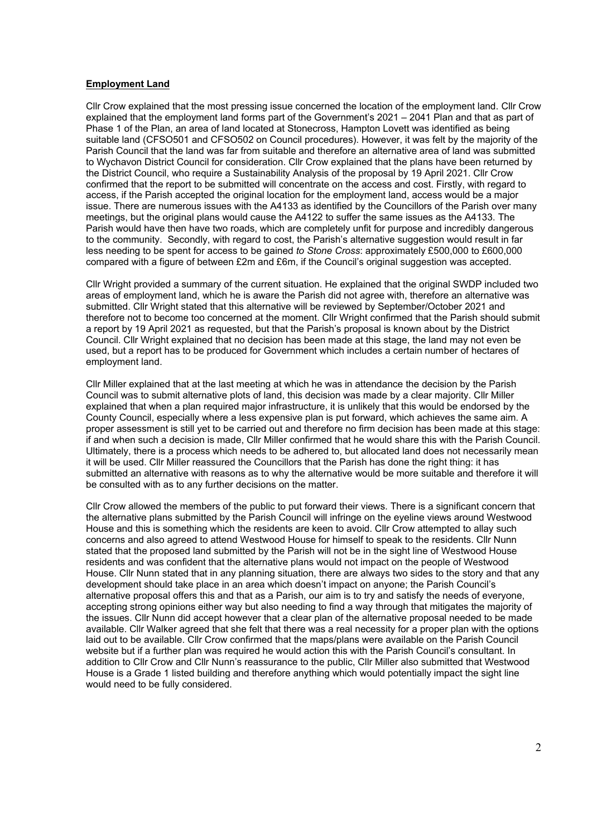#### **Employment Land**

Cllr Crow explained that the most pressing issue concerned the location of the employment land. Cllr Crow explained that the employment land forms part of the Government's 2021 – 2041 Plan and that as part of Phase 1 of the Plan, an area of land located at Stonecross, Hampton Lovett was identified as being suitable land (CFSO501 and CFSO502 on Council procedures). However, it was felt by the majority of the Parish Council that the land was far from suitable and therefore an alternative area of land was submitted to Wychavon District Council for consideration. Cllr Crow explained that the plans have been returned by the District Council, who require a Sustainability Analysis of the proposal by 19 April 2021. Cllr Crow confirmed that the report to be submitted will concentrate on the access and cost. Firstly, with regard to access, if the Parish accepted the original location for the employment land, access would be a major issue. There are numerous issues with the A4133 as identified by the Councillors of the Parish over many meetings, but the original plans would cause the A4122 to suffer the same issues as the A4133. The Parish would have then have two roads, which are completely unfit for purpose and incredibly dangerous to the community. Secondly, with regard to cost, the Parish's alternative suggestion would result in far less needing to be spent for access to be gained *to Stone Cross*: approximately £500,000 to £600,000 compared with a figure of between £2m and £6m, if the Council's original suggestion was accepted.

Cllr Wright provided a summary of the current situation. He explained that the original SWDP included two areas of employment land, which he is aware the Parish did not agree with, therefore an alternative was submitted. Cllr Wright stated that this alternative will be reviewed by September/October 2021 and therefore not to become too concerned at the moment. Cllr Wright confirmed that the Parish should submit a report by 19 April 2021 as requested, but that the Parish's proposal is known about by the District Council. Cllr Wright explained that no decision has been made at this stage, the land may not even be used, but a report has to be produced for Government which includes a certain number of hectares of employment land.

Cllr Miller explained that at the last meeting at which he was in attendance the decision by the Parish Council was to submit alternative plots of land, this decision was made by a clear majority. Cllr Miller explained that when a plan required major infrastructure, it is unlikely that this would be endorsed by the County Council, especially where a less expensive plan is put forward, which achieves the same aim. A proper assessment is still yet to be carried out and therefore no firm decision has been made at this stage: if and when such a decision is made, Cllr Miller confirmed that he would share this with the Parish Council. Ultimately, there is a process which needs to be adhered to, but allocated land does not necessarily mean it will be used. Cllr Miller reassured the Councillors that the Parish has done the right thing: it has submitted an alternative with reasons as to why the alternative would be more suitable and therefore it will be consulted with as to any further decisions on the matter.

Cllr Crow allowed the members of the public to put forward their views. There is a significant concern that the alternative plans submitted by the Parish Council will infringe on the eyeline views around Westwood House and this is something which the residents are keen to avoid. Cllr Crow attempted to allay such concerns and also agreed to attend Westwood House for himself to speak to the residents. Cllr Nunn stated that the proposed land submitted by the Parish will not be in the sight line of Westwood House residents and was confident that the alternative plans would not impact on the people of Westwood House. Cllr Nunn stated that in any planning situation, there are always two sides to the story and that any development should take place in an area which doesn't impact on anyone; the Parish Council's alternative proposal offers this and that as a Parish, our aim is to try and satisfy the needs of everyone, accepting strong opinions either way but also needing to find a way through that mitigates the majority of the issues. Cllr Nunn did accept however that a clear plan of the alternative proposal needed to be made available. Cllr Walker agreed that she felt that there was a real necessity for a proper plan with the options laid out to be available. Cllr Crow confirmed that the maps/plans were available on the Parish Council website but if a further plan was required he would action this with the Parish Council's consultant. In addition to Cllr Crow and Cllr Nunn's reassurance to the public, Cllr Miller also submitted that Westwood House is a Grade 1 listed building and therefore anything which would potentially impact the sight line would need to be fully considered.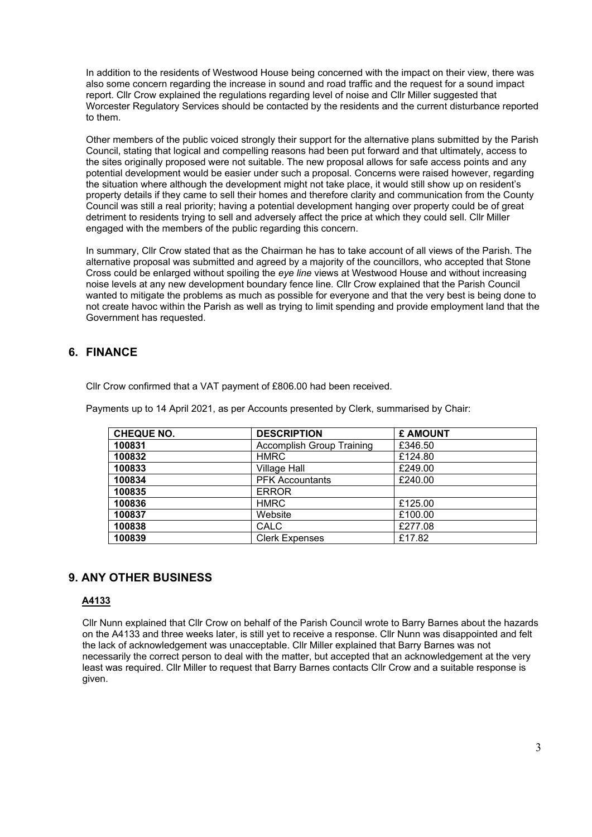In addition to the residents of Westwood House being concerned with the impact on their view, there was also some concern regarding the increase in sound and road traffic and the request for a sound impact report. Cllr Crow explained the regulations regarding level of noise and Cllr Miller suggested that Worcester Regulatory Services should be contacted by the residents and the current disturbance reported to them.

Other members of the public voiced strongly their support for the alternative plans submitted by the Parish Council, stating that logical and compelling reasons had been put forward and that ultimately, access to the sites originally proposed were not suitable. The new proposal allows for safe access points and any potential development would be easier under such a proposal. Concerns were raised however, regarding the situation where although the development might not take place, it would still show up on resident's property details if they came to sell their homes and therefore clarity and communication from the County Council was still a real priority; having a potential development hanging over property could be of great detriment to residents trying to sell and adversely affect the price at which they could sell. Cllr Miller engaged with the members of the public regarding this concern.

In summary, Cllr Crow stated that as the Chairman he has to take account of all views of the Parish. The alternative proposal was submitted and agreed by a majority of the councillors, who accepted that Stone Cross could be enlarged without spoiling the *eye line* views at Westwood House and without increasing noise levels at any new development boundary fence line*.* Cllr Crow explained that the Parish Council wanted to mitigate the problems as much as possible for everyone and that the very best is being done to not create havoc within the Parish as well as trying to limit spending and provide employment land that the Government has requested.

# **6. FINANCE**

Cllr Crow confirmed that a VAT payment of £806.00 had been received.

Payments up to 14 April 2021, as per Accounts presented by Clerk, summarised by Chair:

| <b>CHEQUE NO.</b> | <b>DESCRIPTION</b>        | £ AMOUNT |
|-------------------|---------------------------|----------|
| 100831            | Accomplish Group Training | £346.50  |
| 100832            | <b>HMRC</b>               | £124.80  |
| 100833            | <b>Village Hall</b>       | £249.00  |
| 100834            | <b>PFK Accountants</b>    | £240.00  |
| 100835            | <b>ERROR</b>              |          |
| 100836            | <b>HMRC</b>               | £125.00  |
| 100837            | Website                   | £100.00  |
| 100838            | CALC                      | £277.08  |
| 100839            | <b>Clerk Expenses</b>     | £17.82   |

# **9. ANY OTHER BUSINESS**

### **A4133**

Cllr Nunn explained that Cllr Crow on behalf of the Parish Council wrote to Barry Barnes about the hazards on the A4133 and three weeks later, is still yet to receive a response. Cllr Nunn was disappointed and felt the lack of acknowledgement was unacceptable. Cllr Miller explained that Barry Barnes was not necessarily the correct person to deal with the matter, but accepted that an acknowledgement at the very least was required. Cllr Miller to request that Barry Barnes contacts Cllr Crow and a suitable response is given.